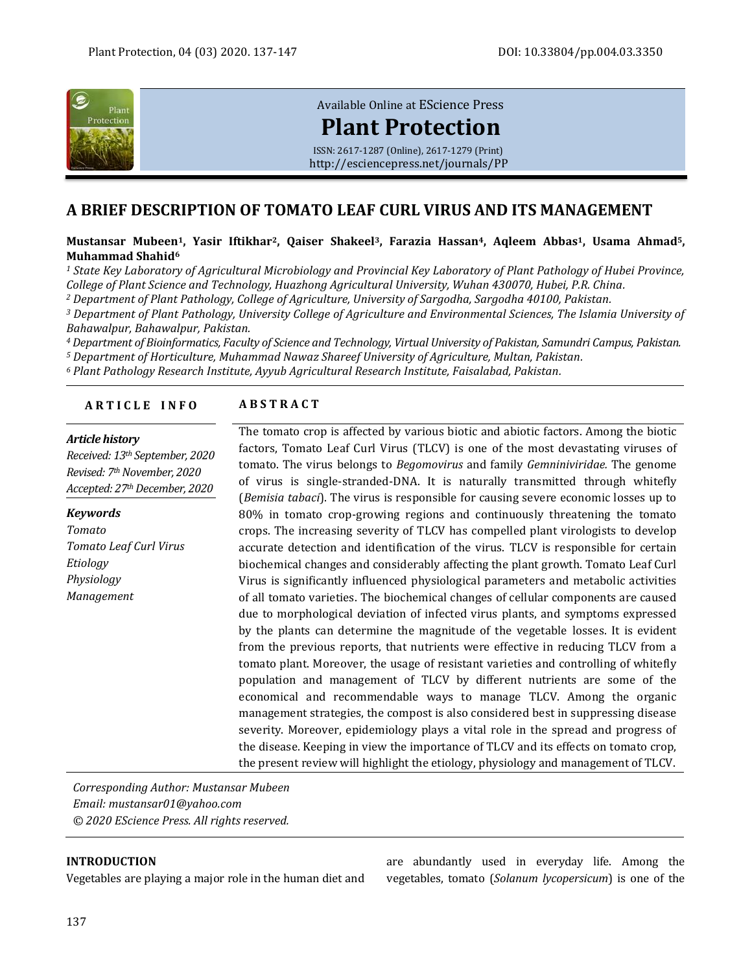

[Available Online at](http://esciencepress.net/journals/PP) EScience Press

# **[Plant Protection](http://esciencepress.net/journals/PP)**

ISSN: 2617-1287 (Online), 2617-1279 (Print) <http://esciencepress.net/journals/PP>

## **A BRIEF DESCRIPTION OF TOMATO LEAF CURL VIRUS AND ITS MANAGEMENT**

**Mustansar Mubeen1, Yasir Iftikhar2, Qaiser Shakeel3, Farazia Hassan4, Aqleem Abbas1, Usama Ahmad5, Muhammad Shahid<sup>6</sup>**

*<sup>1</sup> State Key Laboratory of Agricultural Microbiology and Provincial Key Laboratory of Plant Pathology of Hubei Province, College of Plant Science and Technology, Huazhong Agricultural University, Wuhan 430070, Hubei, P.R. China.*

*<sup>2</sup> Department of Plant Pathology, College of Agriculture, University of Sargodha, Sargodha 40100, Pakistan.*

*<sup>3</sup> Department of Plant Pathology, University College of Agriculture and Environmental Sciences, The Islamia University of Bahawalpur, Bahawalpur, Pakistan.*

*<sup>4</sup> Department of Bioinformatics, Faculty of Science and Technology, Virtual University of Pakistan, Samundri Campus, Pakistan.*

*<sup>5</sup> Department of Horticulture, Muhammad Nawaz Shareef University of Agriculture, Multan, Pakistan.*

*<sup>6</sup> Plant Pathology Research Institute, Ayyub Agricultural Research Institute, Faisalabad, Pakistan.*

#### **A R T I C L E I N F O A B S T R A C T**

#### *Article history*

*Received: 13th September, 2020 Revised: 7thNovember, 2020 Accepted: 27thDecember, 2020*

*Keywords Tomato Tomato Leaf Curl Virus Etiology Physiology Management*

The tomato crop is affected by various biotic and abiotic factors. Among the biotic factors, Tomato Leaf Curl Virus (TLCV) is one of the most devastating viruses of tomato. The virus belongs to *Begomovirus* and family *Gemniniviridae.* The genome of virus is single-stranded-DNA. It is naturally transmitted through whitefly (*Bemisia tabaci*). The virus is responsible for causing severe economic losses up to 80% in tomato crop-growing regions and continuously threatening the tomato crops. The increasing severity of TLCV has compelled plant virologists to develop accurate detection and identification of the virus. TLCV is responsible for certain biochemical changes and considerably affecting the plant growth. Tomato Leaf Curl Virus is significantly influenced physiological parameters and metabolic activities of all tomato varieties. The biochemical changes of cellular components are caused due to morphological deviation of infected virus plants, and symptoms expressed by the plants can determine the magnitude of the vegetable losses. It is evident from the previous reports, that nutrients were effective in reducing TLCV from a tomato plant. Moreover, the usage of resistant varieties and controlling of whitefly population and management of TLCV by different nutrients are some of the economical and recommendable ways to manage TLCV. Among the organic management strategies, the compost is also considered best in suppressing disease severity. Moreover, epidemiology plays a vital role in the spread and progress of the disease. Keeping in view the importance of TLCV and its effects on tomato crop, the present review will highlight the etiology, physiology and management of TLCV.

*Corresponding Author: Mustansar Mubeen Email: mustansar01@yahoo.com © 2020 EScience Press. All rights reserved.*

#### **INTRODUCTION**

Vegetables are playing a major role in the human diet and

are abundantly used in everyday life. Among the vegetables, tomato (*Solanum lycopersicum*) is one of the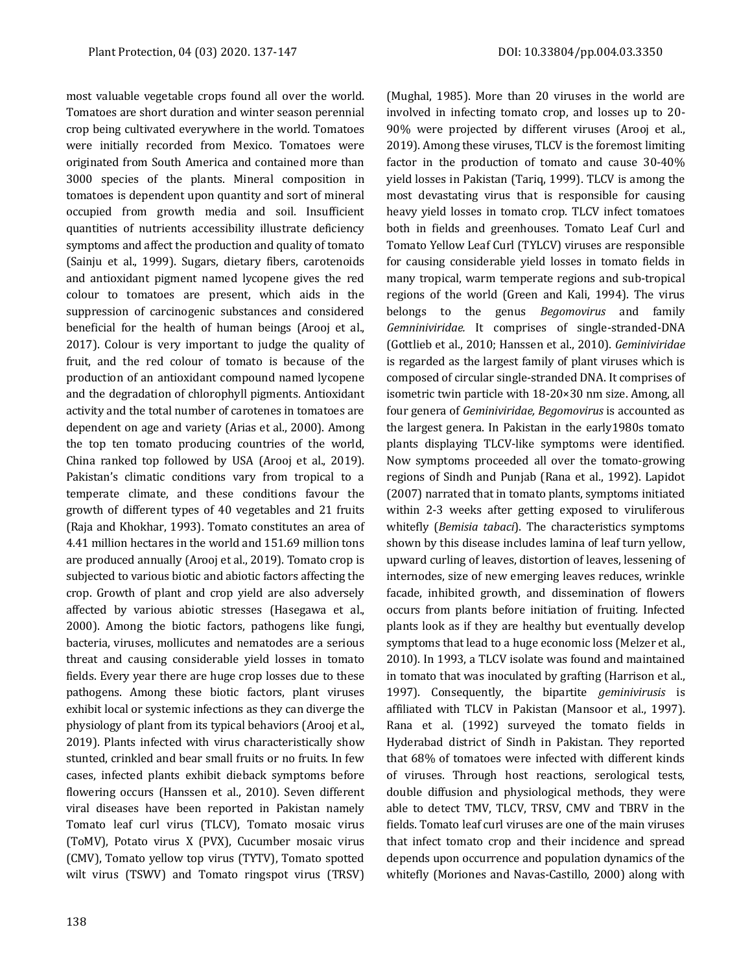most valuable vegetable crops found all over the world. Tomatoes are short duration and winter season perennial crop being cultivated everywhere in the world. Tomatoes were initially recorded from Mexico. Tomatoes were originated from South America and contained more than 3000 species of the plants. Mineral composition in tomatoes is dependent upon quantity and sort of mineral occupied from growth media and soil. Insufficient quantities of nutrients accessibility illustrate deficiency symptoms and affect the production and quality of tomato (Sainju et al., 1999). Sugars, dietary fibers, carotenoids and antioxidant pigment named lycopene gives the red colour to tomatoes are present, which aids in the suppression of carcinogenic substances and considered beneficial for the health of human beings (Arooj et al., 2017). Colour is very important to judge the quality of fruit, and the red colour of tomato is because of the production of an antioxidant compound named lycopene and the degradation of chlorophyll pigments. Antioxidant activity and the total number of carotenes in tomatoes are dependent on age and variety (Arias et al., 2000). Among the top ten tomato producing countries of the world, China ranked top followed by USA (Arooj et al., 2019). Pakistan's climatic conditions vary from tropical to a temperate climate, and these conditions favour the growth of different types of 40 vegetables and 21 fruits (Raja and Khokhar, 1993). Tomato constitutes an area of 4.41 million hectares in the world and 151.69 million tons are produced annually (Arooj et al., 2019). Tomato crop is subjected to various biotic and abiotic factors affecting the crop. Growth of plant and crop yield are also adversely affected by various abiotic stresses (Hasegawa et al., 2000). Among the biotic factors, pathogens like fungi, bacteria, viruses, mollicutes and nematodes are a serious threat and causing considerable yield losses in tomato fields. Every year there are huge crop losses due to these pathogens. Among these biotic factors, plant viruses exhibit local or systemic infections as they can diverge the physiology of plant from its typical behaviors (Arooj et al., 2019). Plants infected with virus characteristically show stunted, crinkled and bear small fruits or no fruits. In few cases, infected plants exhibit dieback symptoms before flowering occurs (Hanssen et al., 2010). Seven different viral diseases have been reported in Pakistan namely Tomato leaf curl virus (TLCV), Tomato mosaic virus (ToMV), Potato virus X (PVX), Cucumber mosaic virus (CMV), Tomato yellow top virus (TYTV), Tomato spotted wilt virus (TSWV) and Tomato ringspot virus (TRSV)

(Mughal, 1985). More than 20 viruses in the world are involved in infecting tomato crop, and losses up to 20- 90% were projected by different viruses (Arooj et al., 2019). Among these viruses, TLCV is the foremost limiting factor in the production of tomato and cause 30-40% yield losses in Pakistan (Tariq, 1999). TLCV is among the most devastating virus that is responsible for causing heavy yield losses in tomato crop. TLCV infect tomatoes both in fields and greenhouses. Tomato Leaf Curl and Tomato Yellow Leaf Curl (TYLCV) viruses are responsible for causing considerable yield losses in tomato fields in many tropical, warm temperate regions and sub-tropical regions of the world (Green and Kali, 1994). The virus belongs to the genus *Begomovirus* and family *Gemniniviridae.* It comprises of single-stranded-DNA (Gottlieb et al., 2010; Hanssen et al., 2010). *Geminiviridae* is regarded as the largest family of plant viruses which is composed of circular single-stranded DNA. It comprises of isometric twin particle with 18-20×30 nm size. Among, all four genera of *Geminiviridae, Begomovirus* is accounted as the largest genera. In Pakistan in the early1980s tomato plants displaying TLCV-like symptoms were identified. Now symptoms proceeded all over the tomato-growing regions of Sindh and Punjab (Rana et al., 1992). Lapidot (2007) narrated that in tomato plants, symptoms initiated within 2-3 weeks after getting exposed to viruliferous whitefly (*Bemisia tabaci*). The characteristics symptoms shown by this disease includes lamina of leaf turn yellow, upward curling of leaves, distortion of leaves, lessening of internodes, size of new emerging leaves reduces, wrinkle facade, inhibited growth, and dissemination of flowers occurs from plants before initiation of fruiting. Infected plants look as if they are healthy but eventually develop symptoms that lead to a huge economic loss (Melzer et al., 2010). In 1993, a TLCV isolate was found and maintained in tomato that was inoculated by grafting (Harrison et al., 1997). Consequently, the bipartite *geminivirusis* is affiliated with TLCV in Pakistan (Mansoor et al., 1997). Rana et al. (1992) surveyed the tomato fields in Hyderabad district of Sindh in Pakistan. They reported that 68% of tomatoes were infected with different kinds of viruses. Through host reactions, serological tests, double diffusion and physiological methods, they were able to detect TMV, TLCV, TRSV, CMV and TBRV in the fields. Tomato leaf curl viruses are one of the main viruses that infect tomato crop and their incidence and spread depends upon occurrence and population dynamics of the whitefly (Moriones and Navas-Castillo, 2000) along with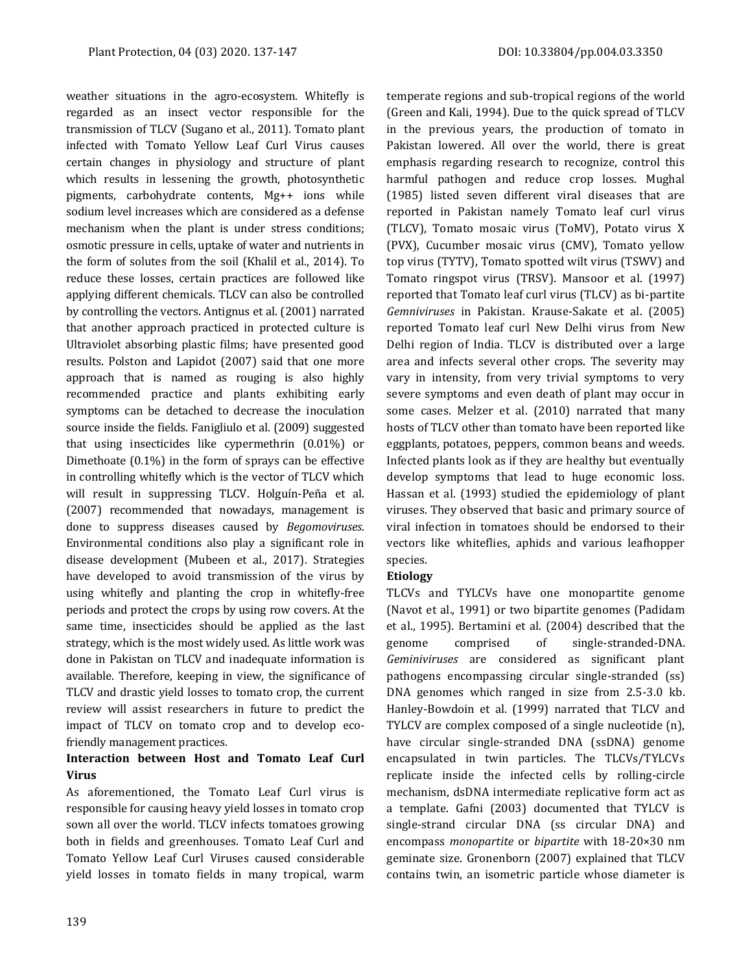weather situations in the agro-ecosystem. Whitefly is regarded as an insect vector responsible for the transmission of TLCV (Sugano et al., 2011). Tomato plant infected with Tomato Yellow Leaf Curl Virus causes certain changes in physiology and structure of plant which results in lessening the growth, photosynthetic pigments, carbohydrate contents, Mg++ ions while sodium level increases which are considered as a defense mechanism when the plant is under stress conditions; osmotic pressure in cells, uptake of water and nutrients in the form of solutes from the soil (Khalil et al., 2014). To reduce these losses, certain practices are followed like applying different chemicals. TLCV can also be controlled by controlling the vectors. Antignus et al. (2001) narrated that another approach practiced in protected culture is Ultraviolet absorbing plastic films; have presented good results. Polston and Lapidot (2007) said that one more approach that is named as rouging is also highly recommended practice and plants exhibiting early symptoms can be detached to decrease the inoculation source inside the fields. Fanigliulo et al. (2009) suggested that using insecticides like cypermethrin (0.01%) or Dimethoate (0.1%) in the form of sprays can be effective in controlling whitefly which is the vector of TLCV which will result in suppressing TLCV. Holguín-Peña et al. (2007) recommended that nowadays, management is done to suppress diseases caused by *Begomoviruses*. Environmental conditions also play a significant role in disease development (Mubeen et al., 2017). Strategies have developed to avoid transmission of the virus by using whitefly and planting the crop in whitefly-free periods and protect the crops by using row covers. At the same time, insecticides should be applied as the last strategy, which is the most widely used. As little work was done in Pakistan on TLCV and inadequate information is available. Therefore, keeping in view, the significance of TLCV and drastic yield losses to tomato crop, the current review will assist researchers in future to predict the impact of TLCV on tomato crop and to develop ecofriendly management practices.

### **Interaction between Host and Tomato Leaf Curl Virus**

As aforementioned, the Tomato Leaf Curl virus is responsible for causing heavy yield losses in tomato crop sown all over the world. TLCV infects tomatoes growing both in fields and greenhouses. Tomato Leaf Curl and Tomato Yellow Leaf Curl Viruses caused considerable yield losses in tomato fields in many tropical, warm temperate regions and sub-tropical regions of the world (Green and Kali, 1994). Due to the quick spread of TLCV in the previous years, the production of tomato in Pakistan lowered. All over the world, there is great emphasis regarding research to recognize, control this harmful pathogen and reduce crop losses. Mughal (1985) listed seven different viral diseases that are reported in Pakistan namely Tomato leaf curl virus (TLCV), Tomato mosaic virus (ToMV), Potato virus X (PVX), Cucumber mosaic virus (CMV), Tomato yellow top virus (TYTV), Tomato spotted wilt virus (TSWV) and Tomato ringspot virus (TRSV). Mansoor et al. (1997) reported that Tomato leaf curl virus (TLCV) as bi-partite *Gemniviruses* in Pakistan. Krause-Sakate et al. (2005) reported Tomato leaf curl New Delhi virus from New Delhi region of India. TLCV is distributed over a large area and infects several other crops. The severity may vary in intensity, from very trivial symptoms to very severe symptoms and even death of plant may occur in some cases. Melzer et al. (2010) narrated that many hosts of TLCV other than tomato have been reported like eggplants, potatoes, peppers, common beans and weeds. Infected plants look as if they are healthy but eventually develop symptoms that lead to huge economic loss. Hassan et al. (1993) studied the epidemiology of plant viruses. They observed that basic and primary source of viral infection in tomatoes should be endorsed to their vectors like whiteflies, aphids and various leafhopper species.

#### **Etiology**

TLCVs and TYLCVs have one monopartite genome (Navot et al., 1991) or two bipartite genomes (Padidam et al., 1995). Bertamini et al. (2004) described that the genome comprised of single-stranded-DNA. *Geminiviruses* are considered as significant plant pathogens encompassing circular single-stranded (ss) DNA genomes which ranged in size from 2.5-3.0 kb. Hanley-Bowdoin et al. (1999) narrated that TLCV and TYLCV are complex composed of a single nucleotide (n), have circular single-stranded DNA (ssDNA) genome encapsulated in twin particles. The TLCVs/TYLCVs replicate inside the infected cells by rolling-circle mechanism, dsDNA intermediate replicative form act as a template. Gafni (2003) documented that TYLCV is single-strand circular DNA (ss circular DNA) and encompass *monopartite* or *bipartite* with 18-20×30 nm geminate size. Gronenborn (2007) explained that TLCV contains twin, an isometric particle whose diameter is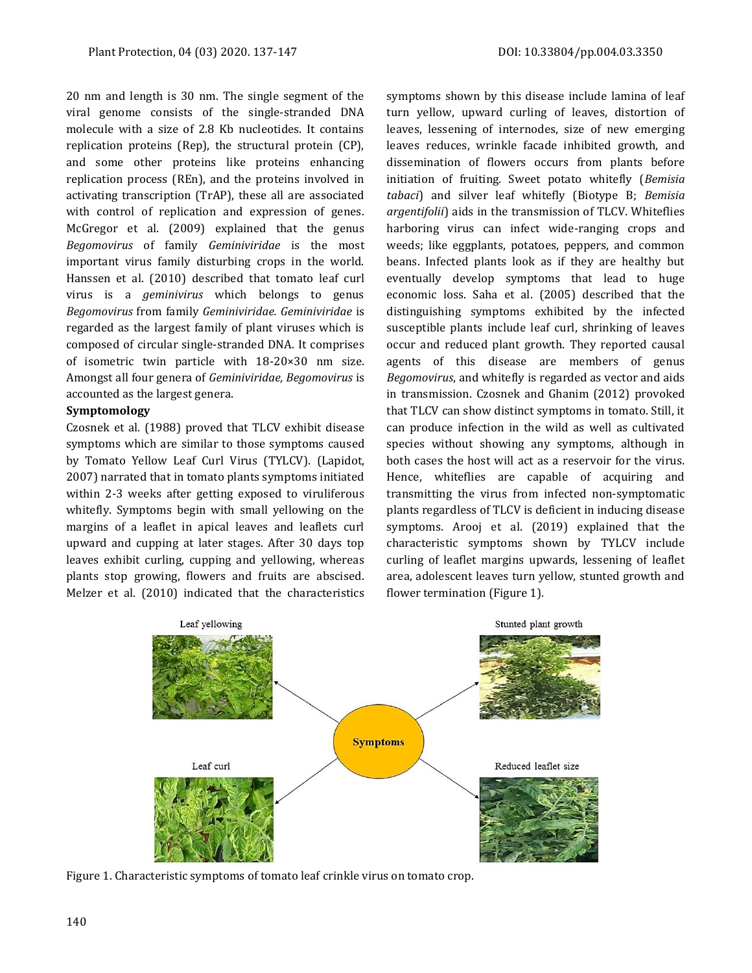20 nm and length is 30 nm. The single segment of the viral genome consists of the single-stranded DNA molecule with a size of 2.8 Kb nucleotides. It contains replication proteins (Rep), the structural protein (CP), and some other proteins like proteins enhancing replication process (REn), and the proteins involved in activating transcription (TrAP), these all are associated with control of replication and expression of genes. McGregor et al. (2009) explained that the genus *Begomovirus* of family *Geminiviridae* is the most important virus family disturbing crops in the world. Hanssen et al. (2010) described that tomato leaf curl virus is a *geminivirus* which belongs to genus *Begomovirus* from family *Geminiviridae. Geminiviridae* is regarded as the largest family of plant viruses which is composed of circular single-stranded DNA. It comprises of isometric twin particle with 18-20×30 nm size. Amongst all four genera of *Geminiviridae, Begomovirus* is accounted as the largest genera.

#### **Symptomology**

Czosnek et al. (1988) proved that TLCV exhibit disease symptoms which are similar to those symptoms caused by Tomato Yellow Leaf Curl Virus (TYLCV). (Lapidot, 2007) narrated that in tomato plants symptoms initiated within 2-3 weeks after getting exposed to viruliferous whitefly. Symptoms begin with small yellowing on the margins of a leaflet in apical leaves and leaflets curl upward and cupping at later stages. After 30 days top leaves exhibit curling, cupping and yellowing, whereas plants stop growing, flowers and fruits are abscised. Melzer et al. (2010) indicated that the characteristics

symptoms shown by this disease include lamina of leaf turn yellow, upward curling of leaves, distortion of leaves, lessening of internodes, size of new emerging leaves reduces, wrinkle facade inhibited growth, and dissemination of flowers occurs from plants before initiation of fruiting. Sweet potato whitefly (*Bemisia tabaci*) and silver leaf whitefly (Biotype B; *Bemisia argentifolii*) aids in the transmission of TLCV. Whiteflies harboring virus can infect wide-ranging crops and weeds; like eggplants, potatoes, peppers, and common beans. Infected plants look as if they are healthy but eventually develop symptoms that lead to huge economic loss. Saha et al. (2005) described that the distinguishing symptoms exhibited by the infected susceptible plants include leaf curl, shrinking of leaves occur and reduced plant growth. They reported causal agents of this disease are members of genus *Begomovirus*, and whitefly is regarded as vector and aids in transmission. Czosnek and Ghanim (2012) provoked that TLCV can show distinct symptoms in tomato. Still, it can produce infection in the wild as well as cultivated species without showing any symptoms, although in both cases the host will act as a reservoir for the virus. Hence, whiteflies are capable of acquiring and transmitting the virus from infected non-symptomatic plants regardless of TLCV is deficient in inducing disease symptoms. Arooj et al. (2019) explained that the characteristic symptoms shown by TYLCV include curling of leaflet margins upwards, lessening of leaflet area, adolescent leaves turn yellow, stunted growth and flower termination (Figure 1).



Figure 1. Characteristic symptoms of tomato leaf crinkle virus on tomato crop.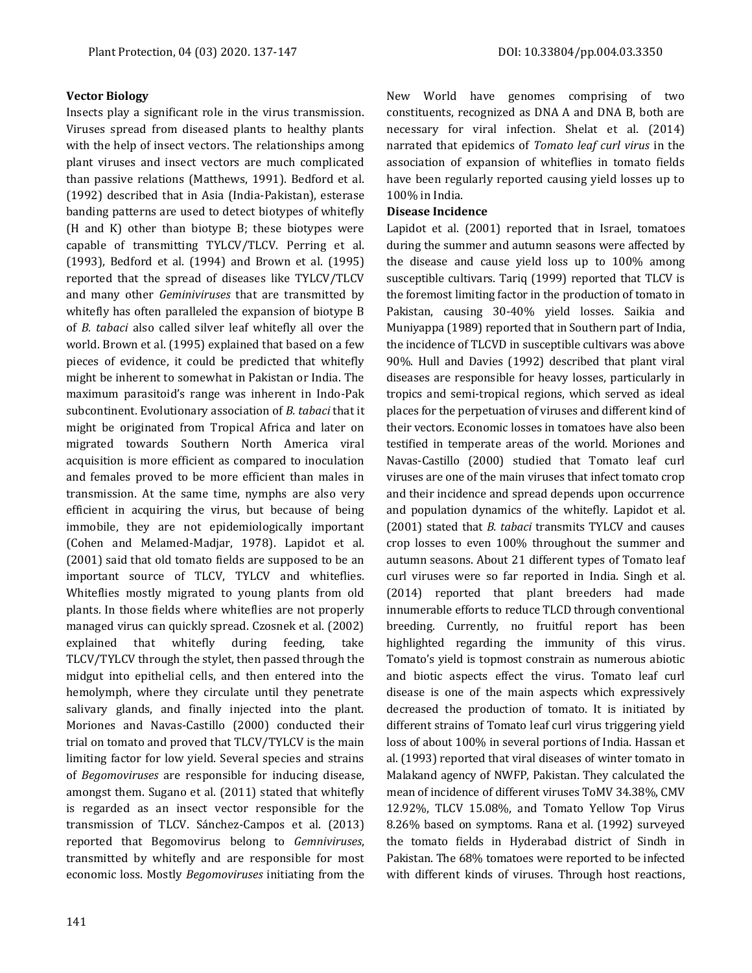#### **Vector Biology**

Insects play a significant role in the virus transmission. Viruses spread from diseased plants to healthy plants with the help of insect vectors. The relationships among plant viruses and insect vectors are much complicated than passive relations (Matthews, 1991). Bedford et al. (1992) described that in Asia (India-Pakistan), esterase banding patterns are used to detect biotypes of whitefly (H and K) other than biotype B; these biotypes were capable of transmitting TYLCV/TLCV. Perring et al. (1993), Bedford et al. (1994) and Brown et al. (1995) reported that the spread of diseases like TYLCV/TLCV and many other *Geminiviruses* that are transmitted by whitefly has often paralleled the expansion of biotype B of *B. tabaci* also called silver leaf whitefly all over the world. Brown et al. (1995) explained that based on a few pieces of evidence, it could be predicted that whitefly might be inherent to somewhat in Pakistan or India. The maximum parasitoid's range was inherent in Indo-Pak subcontinent. Evolutionary association of *B. tabaci* that it might be originated from Tropical Africa and later on migrated towards Southern North America viral acquisition is more efficient as compared to inoculation and females proved to be more efficient than males in transmission. At the same time, nymphs are also very efficient in acquiring the virus, but because of being immobile, they are not epidemiologically important (Cohen and Melamed-Madjar, 1978). Lapidot et al. (2001) said that old tomato fields are supposed to be an important source of TLCV, TYLCV and whiteflies. Whiteflies mostly migrated to young plants from old plants. In those fields where whiteflies are not properly managed virus can quickly spread. Czosnek et al. (2002) explained that whitefly during feeding, take TLCV/TYLCV through the stylet, then passed through the midgut into epithelial cells, and then entered into the hemolymph, where they circulate until they penetrate salivary glands, and finally injected into the plant. Moriones and Navas-Castillo (2000) conducted their trial on tomato and proved that TLCV/TYLCV is the main limiting factor for low yield. Several species and strains of *Begomoviruses* are responsible for inducing disease, amongst them. Sugano et al. (2011) stated that whitefly is regarded as an insect vector responsible for the transmission of TLCV. Sánchez-Campos et al. (2013) reported that Begomovirus belong to *Gemniviruses*, transmitted by whitefly and are responsible for most economic loss. Mostly *Begomoviruses* initiating from the New World have genomes comprising of two constituents, recognized as DNA A and DNA B, both are necessary for viral infection. Shelat et al. (2014) narrated that epidemics of *Tomato leaf curl virus* in the association of expansion of whiteflies in tomato fields have been regularly reported causing yield losses up to 100% in India.

#### **Disease Incidence**

Lapidot et al. (2001) reported that in Israel, tomatoes during the summer and autumn seasons were affected by the disease and cause yield loss up to 100% among susceptible cultivars. Tariq (1999) reported that TLCV is the foremost limiting factor in the production of tomato in Pakistan, causing 30-40% yield losses. Saikia and Muniyappa (1989) reported that in Southern part of India, the incidence of TLCVD in susceptible cultivars was above 90%. Hull and Davies (1992) described that plant viral diseases are responsible for heavy losses, particularly in tropics and semi-tropical regions, which served as ideal places for the perpetuation of viruses and different kind of their vectors. Economic losses in tomatoes have also been testified in temperate areas of the world. Moriones and Navas-Castillo (2000) studied that Tomato leaf curl viruses are one of the main viruses that infect tomato crop and their incidence and spread depends upon occurrence and population dynamics of the whitefly. Lapidot et al. (2001) stated that *B. tabaci* transmits TYLCV and causes crop losses to even 100% throughout the summer and autumn seasons. About 21 different types of Tomato leaf curl viruses were so far reported in India. Singh et al. (2014) reported that plant breeders had made innumerable efforts to reduce TLCD through conventional breeding. Currently, no fruitful report has been highlighted regarding the immunity of this virus. Tomato's yield is topmost constrain as numerous abiotic and biotic aspects effect the virus. Tomato leaf curl disease is one of the main aspects which expressively decreased the production of tomato. It is initiated by different strains of Tomato leaf curl virus triggering yield loss of about 100% in several portions of India. Hassan et al. (1993) reported that viral diseases of winter tomato in Malakand agency of NWFP, Pakistan. They calculated the mean of incidence of different viruses ToMV 34.38%, CMV 12.92%, TLCV 15.08%, and Tomato Yellow Top Virus 8.26% based on symptoms. Rana et al. (1992) surveyed the tomato fields in Hyderabad district of Sindh in Pakistan. The 68% tomatoes were reported to be infected with different kinds of viruses. Through host reactions,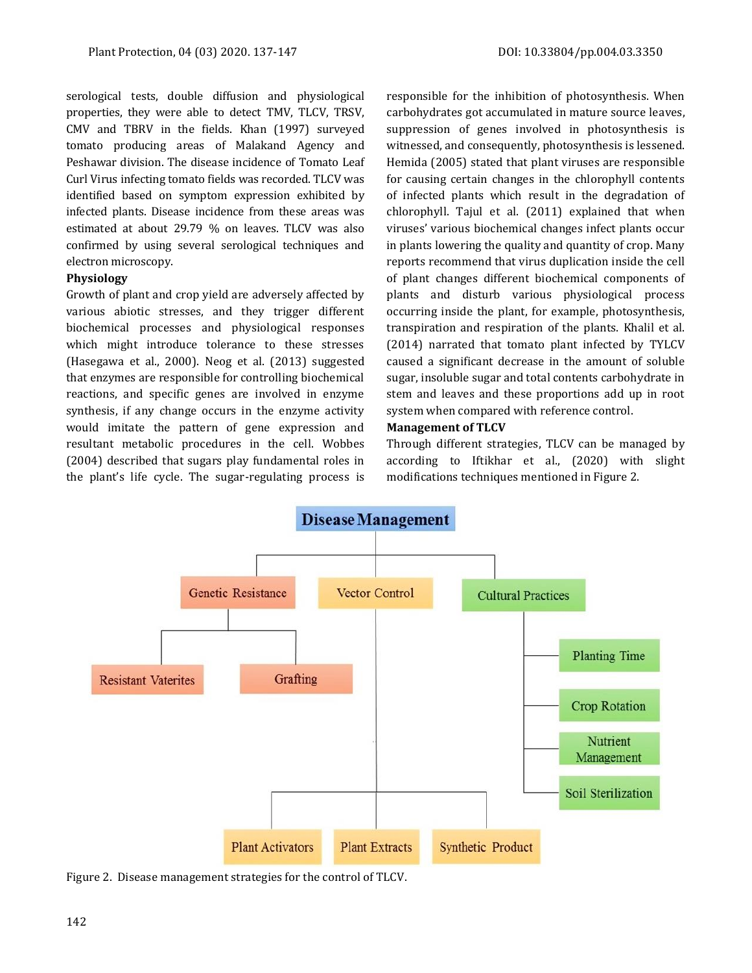serological tests, double diffusion and physiological properties, they were able to detect TMV, TLCV, TRSV, CMV and TBRV in the fields. Khan (1997) surveyed tomato producing areas of Malakand Agency and Peshawar division. The disease incidence of Tomato Leaf Curl Virus infecting tomato fields was recorded. TLCV was identified based on symptom expression exhibited by infected plants. Disease incidence from these areas was estimated at about 29.79 % on leaves. TLCV was also confirmed by using several serological techniques and electron microscopy.

#### **Physiology**

Growth of plant and crop yield are adversely affected by various abiotic stresses, and they trigger different biochemical processes and physiological responses which might introduce tolerance to these stresses (Hasegawa et al., 2000). Neog et al. (2013) suggested that enzymes are responsible for controlling biochemical reactions, and specific genes are involved in enzyme synthesis, if any change occurs in the enzyme activity would imitate the pattern of gene expression and resultant metabolic procedures in the cell. Wobbes (2004) described that sugars play fundamental roles in the plant's life cycle. The sugar-regulating process is

responsible for the inhibition of photosynthesis. When carbohydrates got accumulated in mature source leaves, suppression of genes involved in photosynthesis is witnessed, and consequently, photosynthesis is lessened. Hemida (2005) stated that plant viruses are responsible for causing certain changes in the chlorophyll contents of infected plants which result in the degradation of chlorophyll. Tajul et al. (2011) explained that when viruses' various biochemical changes infect plants occur in plants lowering the quality and quantity of crop. Many reports recommend that virus duplication inside the cell of plant changes different biochemical components of plants and disturb various physiological process occurring inside the plant, for example, photosynthesis, transpiration and respiration of the plants. Khalil et al. (2014) narrated that tomato plant infected by TYLCV caused a significant decrease in the amount of soluble sugar, insoluble sugar and total contents carbohydrate in stem and leaves and these proportions add up in root system when compared with reference control.

#### **Management of TLCV**

Through different strategies, TLCV can be managed by according to Iftikhar et al., (2020) with slight modifications techniques mentioned in Figure 2.



Figure 2. Disease management strategies for the control of TLCV.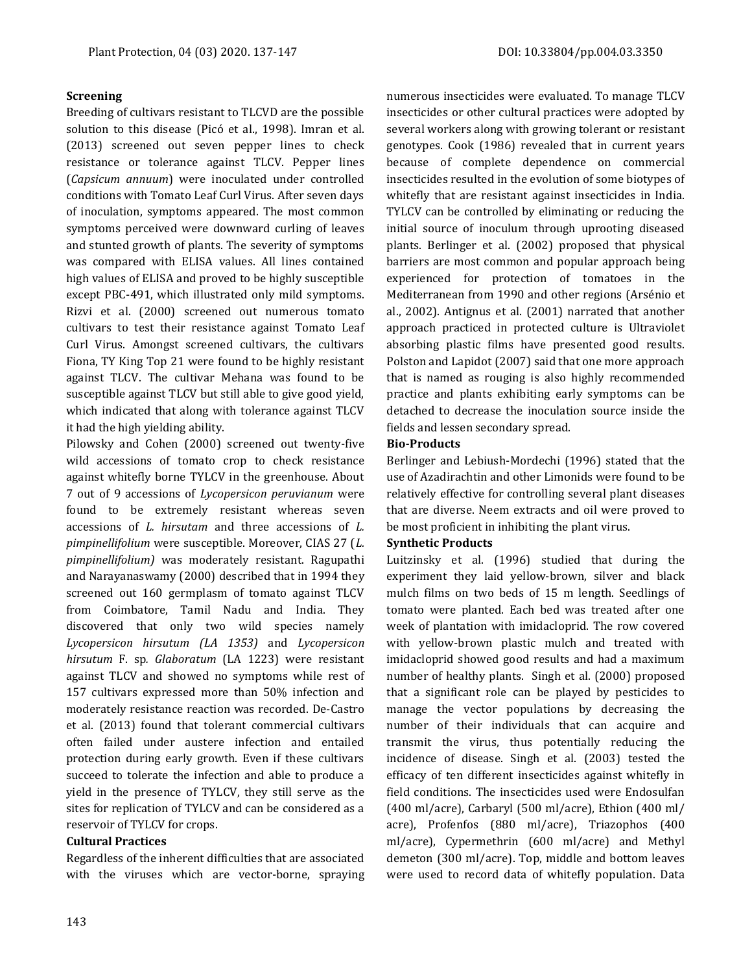#### **Screening**

Breeding of cultivars resistant to TLCVD are the possible solution to this disease (Picó et al., 1998). Imran et al. (2013) screened out seven pepper lines to check resistance or tolerance against TLCV. Pepper lines (*Capsicum annuum*) were inoculated under controlled conditions with Tomato Leaf Curl Virus. After seven days of inoculation, symptoms appeared. The most common symptoms perceived were downward curling of leaves and stunted growth of plants. The severity of symptoms was compared with ELISA values. All lines contained high values of ELISA and proved to be highly susceptible except PBC-491, which illustrated only mild symptoms. Rizvi et al. (2000) screened out numerous tomato cultivars to test their resistance against Tomato Leaf Curl Virus. Amongst screened cultivars, the cultivars Fiona, TY King Top 21 were found to be highly resistant against TLCV. The cultivar Mehana was found to be susceptible against TLCV but still able to give good yield, which indicated that along with tolerance against TLCV it had the high yielding ability.

Pilowsky and Cohen (2000) screened out twenty-five wild accessions of tomato crop to check resistance against whitefly borne TYLCV in the greenhouse. About 7 out of 9 accessions of *Lycopersicon peruvianum* were found to be extremely resistant whereas seven accessions of *L. hirsutam* and three accessions of *L. pimpinellifolium* were susceptible. Moreover, CIAS 27 (*L. pimpinellifolium)* was moderately resistant. Ragupathi and Narayanaswamy (2000) described that in 1994 they screened out 160 germplasm of tomato against TLCV from Coimbatore, Tamil Nadu and India. They discovered that only two wild species namely *Lycopersicon hirsutum (LA 1353)* and *Lycopersicon hirsutum* F. sp*. Glaboratum* (LA 1223) were resistant against TLCV and showed no symptoms while rest of 157 cultivars expressed more than 50% infection and moderately resistance reaction was recorded. De-Castro et al. (2013) found that tolerant commercial cultivars often failed under austere infection and entailed protection during early growth. Even if these cultivars succeed to tolerate the infection and able to produce a yield in the presence of TYLCV, they still serve as the sites for replication of TYLCV and can be considered as a reservoir of TYLCV for crops.

#### **Cultural Practices**

Regardless of the inherent difficulties that are associated with the viruses which are vector-borne, spraying numerous insecticides were evaluated. To manage TLCV insecticides or other cultural practices were adopted by several workers along with growing tolerant or resistant genotypes. Cook (1986) revealed that in current years because of complete dependence on commercial insecticides resulted in the evolution of some biotypes of whitefly that are resistant against insecticides in India. TYLCV can be controlled by eliminating or reducing the initial source of inoculum through uprooting diseased plants. Berlinger et al. (2002) proposed that physical barriers are most common and popular approach being experienced for protection of tomatoes in the Mediterranean from 1990 and other regions (Arsénio et al., 2002). Antignus et al. (2001) narrated that another approach practiced in protected culture is Ultraviolet absorbing plastic films have presented good results. Polston and Lapidot (2007) said that one more approach that is named as rouging is also highly recommended practice and plants exhibiting early symptoms can be detached to decrease the inoculation source inside the fields and lessen secondary spread.

#### **Bio-Products**

Berlinger and Lebiush-Mordechi (1996) stated that the use of Azadirachtin and other Limonids were found to be relatively effective for controlling several plant diseases that are diverse. Neem extracts and oil were proved to be most proficient in inhibiting the plant virus.

#### **Synthetic Products**

Luitzinsky et al. (1996) studied that during the experiment they laid yellow-brown, silver and black mulch films on two beds of 15 m length. Seedlings of tomato were planted. Each bed was treated after one week of plantation with imidacloprid. The row covered with yellow-brown plastic mulch and treated with imidacloprid showed good results and had a maximum number of healthy plants. Singh et al. (2000) proposed that a significant role can be played by pesticides to manage the vector populations by decreasing the number of their individuals that can acquire and transmit the virus, thus potentially reducing the incidence of disease. Singh et al. (2003) tested the efficacy of ten different insecticides against whitefly in field conditions. The insecticides used were Endosulfan (400 ml/acre), Carbaryl (500 ml/acre), Ethion (400 ml/ acre), Profenfos (880 ml/acre), Triazophos (400 ml/acre), Cypermethrin (600 ml/acre) and Methyl demeton (300 ml/acre). Top, middle and bottom leaves were used to record data of whitefly population. Data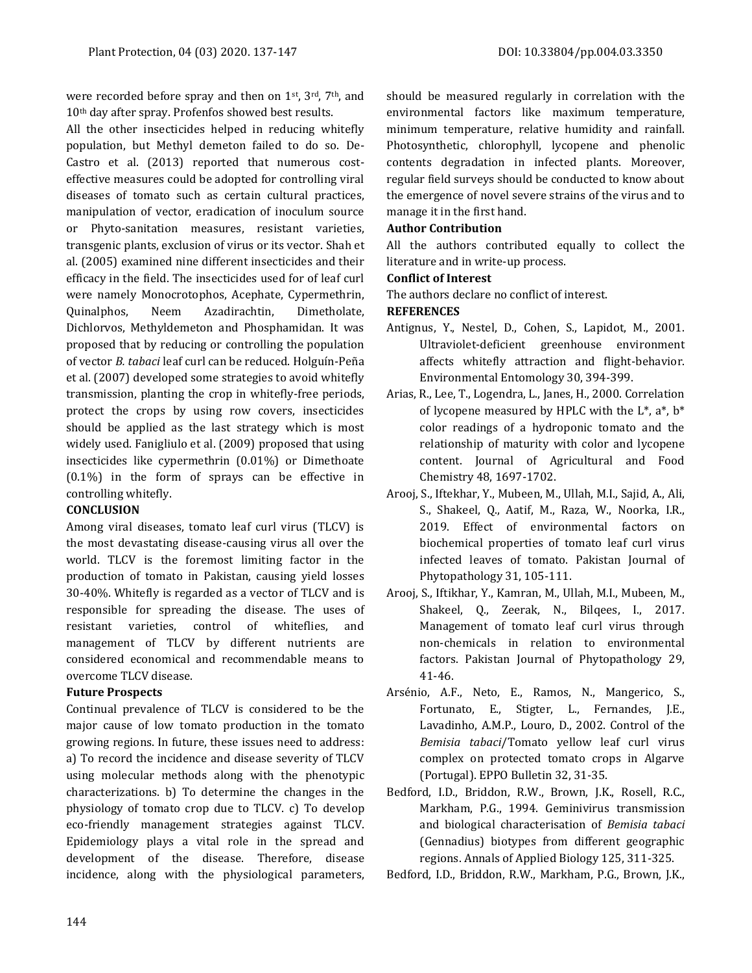were recorded before spray and then on 1st, 3rd, 7th, and 10th day after spray. Profenfos showed best results.

All the other insecticides helped in reducing whitefly population, but Methyl demeton failed to do so. De-Castro et al. (2013) reported that numerous costeffective measures could be adopted for controlling viral diseases of tomato such as certain cultural practices, manipulation of vector, eradication of inoculum source or Phyto-sanitation measures, resistant varieties, transgenic plants, exclusion of virus or its vector. Shah et al. (2005) examined nine different insecticides and their efficacy in the field. The insecticides used for of leaf curl were namely Monocrotophos, Acephate, Cypermethrin, Quinalphos, Neem Azadirachtin, Dimetholate, Dichlorvos, Methyldemeton and Phosphamidan. It was proposed that by reducing or controlling the population of vector *B. tabaci* leaf curl can be reduced. Holguín-Peña et al. (2007) developed some strategies to avoid whitefly transmission, planting the crop in whitefly-free periods, protect the crops by using row covers, insecticides should be applied as the last strategy which is most widely used. Fanigliulo et al. (2009) proposed that using insecticides like cypermethrin (0.01%) or Dimethoate (0.1%) in the form of sprays can be effective in controlling whitefly.

#### **CONCLUSION**

Among viral diseases, tomato leaf curl virus (TLCV) is the most devastating disease-causing virus all over the world. TLCV is the foremost limiting factor in the production of tomato in Pakistan, causing yield losses 30-40%. Whitefly is regarded as a vector of TLCV and is responsible for spreading the disease. The uses of resistant varieties, control of whiteflies, and management of TLCV by different nutrients are considered economical and recommendable means to overcome TLCV disease.

#### **Future Prospects**

Continual prevalence of TLCV is considered to be the major cause of low tomato production in the tomato growing regions. In future, these issues need to address: a) To record the incidence and disease severity of TLCV using molecular methods along with the phenotypic characterizations. b) To determine the changes in the physiology of tomato crop due to TLCV. c) To develop eco-friendly management strategies against TLCV. Epidemiology plays a vital role in the spread and development of the disease. Therefore, disease incidence, along with the physiological parameters, should be measured regularly in correlation with the environmental factors like maximum temperature, minimum temperature, relative humidity and rainfall. Photosynthetic, chlorophyll, lycopene and phenolic contents degradation in infected plants. Moreover, regular field surveys should be conducted to know about the emergence of novel severe strains of the virus and to manage it in the first hand.

#### **Author Contribution**

All the authors contributed equally to collect the literature and in write-up process.

#### **Conflict of Interest**

The authors declare no conflict of interest.

#### **REFERENCES**

- Antignus, Y., Nestel, D., Cohen, S., Lapidot, M., 2001. Ultraviolet-deficient greenhouse environment affects whitefly attraction and flight-behavior. Environmental Entomology 30, 394-399.
- Arias, R., Lee, T., Logendra, L., Janes, H., 2000. Correlation of lycopene measured by HPLC with the  $L^*$ ,  $a^*$ ,  $b^*$ color readings of a hydroponic tomato and the relationship of maturity with color and lycopene content. Journal of Agricultural and Food Chemistry 48, 1697-1702.
- Arooj, S., Iftekhar, Y., Mubeen, M., Ullah, M.I., Sajid, A., Ali, S., Shakeel, Q., Aatif, M., Raza, W., Noorka, I.R., 2019. Effect of environmental factors on biochemical properties of tomato leaf curl virus infected leaves of tomato. Pakistan Journal of Phytopathology 31, 105-111.
- Arooj, S., Iftikhar, Y., Kamran, M., Ullah, M.I., Mubeen, M., Shakeel, Q., Zeerak, N., Bilqees, I., 2017. Management of tomato leaf curl virus through non-chemicals in relation to environmental factors. Pakistan Journal of Phytopathology 29, 41-46.
- Arsénio, A.F., Neto, E., Ramos, N., Mangerico, S., Fortunato, E., Stigter, L., Fernandes, J.E., Lavadinho, A.M.P., Louro, D., 2002. Control of the *Bemisia tabaci*/Tomato yellow leaf curl virus complex on protected tomato crops in Algarve (Portugal). EPPO Bulletin 32, 31-35.
- Bedford, I.D., Briddon, R.W., Brown, J.K., Rosell, R.C., Markham, P.G., 1994. Geminivirus transmission and biological characterisation of *Bemisia tabaci* (Gennadius) biotypes from different geographic regions. Annals of Applied Biology 125, 311-325.

Bedford, I.D., Briddon, R.W., Markham, P.G., Brown, J.K.,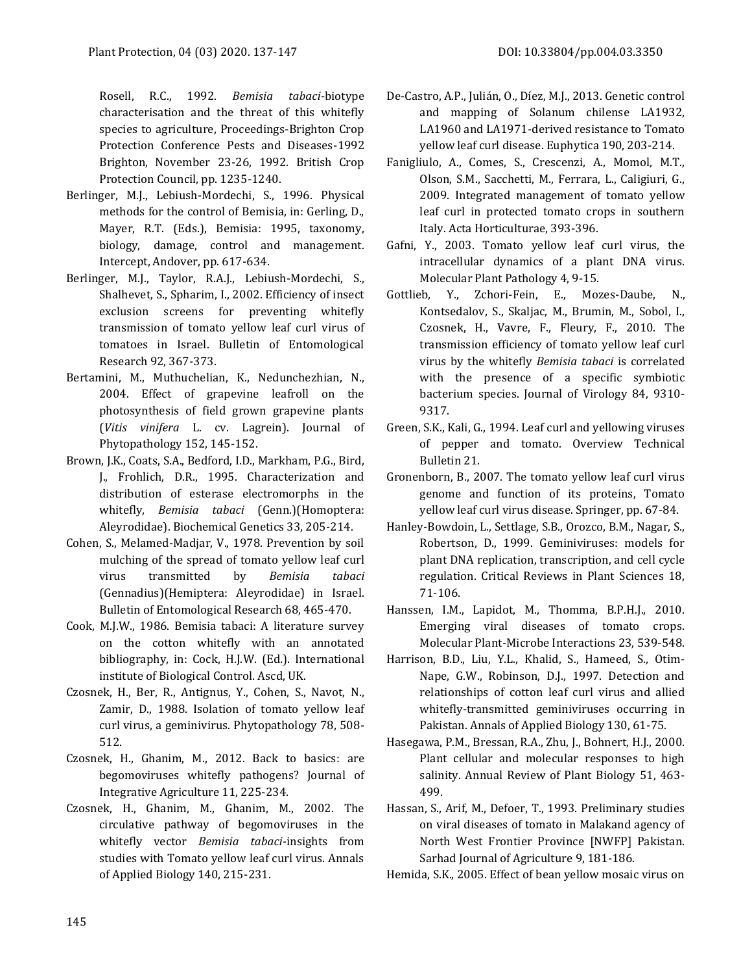Rosell, R.C., 1992. *Bemisia tabaci*-biotype characterisation and the threat of this whitefly species to agriculture, Proceedings-Brighton Crop Protection Conference Pests and Diseases-1992 Brighton, November 23-26, 1992. British Crop Protection Council, pp. 1235-1240.

- Berlinger, M.J., Lebiush-Mordechi, S., 1996. Physical methods for the control of Bemisia, in: Gerling, D., Mayer, R.T. (Eds.), Bemisia: 1995, taxonomy, biology, damage, control and management. Intercept, Andover, pp. 617-634.
- Berlinger, M.J., Taylor, R.A.J., Lebiush-Mordechi, S., Shalhevet, S., Spharim, I., 2002. Efficiency of insect exclusion screens for preventing whitefly transmission of tomato yellow leaf curl virus of tomatoes in Israel. Bulletin of Entomological Research 92, 367-373.
- Bertamini, M., Muthuchelian, K., Nedunchezhian, N., 2004. Effect of grapevine leafroll on the photosynthesis of field grown grapevine plants (*Vitis vinifera* L. cv. Lagrein). Journal of Phytopathology 152, 145-152.
- Brown, J.K., Coats, S.A., Bedford, I.D., Markham, P.G., Bird, J., Frohlich, D.R., 1995. Characterization and distribution of esterase electromorphs in the whitefly, *Bemisia tabaci* (Genn.)(Homoptera: Aleyrodidae). Biochemical Genetics 33, 205-214.
- Cohen, S., Melamed-Madjar, V., 1978. Prevention by soil mulching of the spread of tomato yellow leaf curl virus transmitted by *Bemisia tabaci* (Gennadius)(Hemiptera: Aleyrodidae) in Israel. Bulletin of Entomological Research 68, 465-470.
- Cook, M.J.W., 1986. Bemisia tabaci: A literature survey on the cotton whitefly with an annotated bibliography, in: Cock, H.J.W. (Ed.). International institute of Biological Control. Ascd, UK.
- Czosnek, H., Ber, R., Antignus, Y., Cohen, S., Navot, N., Zamir, D., 1988. Isolation of tomato yellow leaf curl virus, a geminivirus. Phytopathology 78, 508- 512.
- Czosnek, H., Ghanim, M., 2012. Back to basics: are begomoviruses whitefly pathogens? Journal of Integrative Agriculture 11, 225-234.
- Czosnek, H., Ghanim, M., Ghanim, M., 2002. The circulative pathway of begomoviruses in the whitefly vector *Bemisia tabaci-*insights from studies with Tomato yellow leaf curl virus. Annals of Applied Biology 140, 215-231.
- De-Castro, A.P., Julián, O., Díez, M.J., 2013. Genetic control and mapping of Solanum chilense LA1932, LA1960 and LA1971-derived resistance to Tomato yellow leaf curl disease. Euphytica 190, 203-214.
- Fanigliulo, A., Comes, S., Crescenzi, A., Momol, M.T., Olson, S.M., Sacchetti, M., Ferrara, L., Caligiuri, G., 2009. Integrated management of tomato yellow leaf curl in protected tomato crops in southern Italy. Acta Horticulturae, 393-396.
- Gafni, Y., 2003. Tomato yellow leaf curl virus, the intracellular dynamics of a plant DNA virus. Molecular Plant Pathology 4, 9-15.
- Gottlieb, Y., Zchori-Fein, E., Mozes-Daube, N., Kontsedalov, S., Skaljac, M., Brumin, M., Sobol, I., Czosnek, H., Vavre, F., Fleury, F., 2010. The transmission efficiency of tomato yellow leaf curl virus by the whitefly *Bemisia tabaci* is correlated with the presence of a specific symbiotic bacterium species. Journal of Virology 84, 9310- 9317.
- Green, S.K., Kali, G., 1994. Leaf curl and yellowing viruses of pepper and tomato. Overview Technical Bulletin 21.
- Gronenborn, B., 2007. The tomato yellow leaf curl virus genome and function of its proteins, Tomato yellow leaf curl virus disease. Springer, pp. 67-84.
- Hanley-Bowdoin, L., Settlage, S.B., Orozco, B.M., Nagar, S., Robertson, D., 1999. Geminiviruses: models for plant DNA replication, transcription, and cell cycle regulation. Critical Reviews in Plant Sciences 18, 71-106.
- Hanssen, I.M., Lapidot, M., Thomma, B.P.H.J., 2010. Emerging viral diseases of tomato crops. Molecular Plant-Microbe Interactions 23, 539-548.
- Harrison, B.D., Liu, Y.L., Khalid, S., Hameed, S., Otim‐ Nape, G.W., Robinson, D.J., 1997. Detection and relationships of cotton leaf curl virus and allied whitefly-transmitted geminiviruses occurring in Pakistan. Annals of Applied Biology 130, 61-75.
- Hasegawa, P.M., Bressan, R.A., Zhu, J., Bohnert, H.J., 2000. Plant cellular and molecular responses to high salinity. Annual Review of Plant Biology 51, 463- 499.
- Hassan, S., Arif, M., Defoer, T., 1993. Preliminary studies on viral diseases of tomato in Malakand agency of North West Frontier Province [NWFP] Pakistan. Sarhad Journal of Agriculture 9, 181-186.
- Hemida, S.K., 2005. Effect of bean yellow mosaic virus on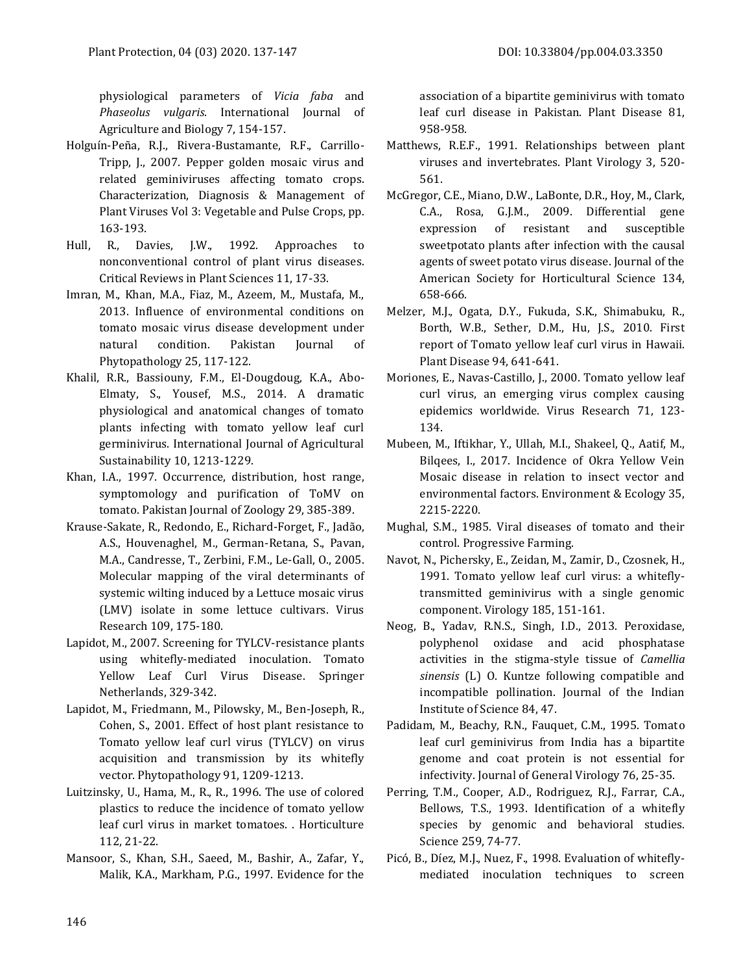physiological parameters of *Vicia faba* and *Phaseolus vulgaris*. International Journal of Agriculture and Biology 7, 154-157.

- Holguín-Peña, R.J., Rivera-Bustamante, R.F., Carrillo-Tripp, J., 2007. Pepper golden mosaic virus and related geminiviruses affecting tomato crops. Characterization, Diagnosis & Management of Plant Viruses Vol 3: Vegetable and Pulse Crops, pp. 163-193.
- Hull, R., Davies, J.W., 1992. Approaches to nonconventional control of plant virus diseases. Critical Reviews in Plant Sciences 11, 17-33.
- Imran, M., Khan, M.A., Fiaz, M., Azeem, M., Mustafa, M., 2013. Influence of environmental conditions on tomato mosaic virus disease development under natural condition. Pakistan Journal of Phytopathology 25, 117-122.
- Khalil, R.R., Bassiouny, F.M., El-Dougdoug, K.A., Abo-Elmaty, S., Yousef, M.S., 2014. A dramatic physiological and anatomical changes of tomato plants infecting with tomato yellow leaf curl germinivirus. International Journal of Agricultural Sustainability 10, 1213-1229.
- Khan, I.A., 1997. Occurrence, distribution, host range, symptomology and purification of ToMV on tomato. Pakistan Journal of Zoology 29, 385-389.
- Krause-Sakate, R., Redondo, E., Richard-Forget, F., Jadão, A.S., Houvenaghel, M., German-Retana, S., Pavan, M.A., Candresse, T., Zerbini, F.M., Le-Gall, O., 2005. Molecular mapping of the viral determinants of systemic wilting induced by a Lettuce mosaic virus (LMV) isolate in some lettuce cultivars. Virus Research 109, 175-180.
- Lapidot, M., 2007. Screening for TYLCV-resistance plants using whitefly-mediated inoculation. Tomato Yellow Leaf Curl Virus Disease. Springer Netherlands, 329-342.
- Lapidot, M., Friedmann, M., Pilowsky, M., Ben-Joseph, R., Cohen, S., 2001. Effect of host plant resistance to Tomato yellow leaf curl virus (TYLCV) on virus acquisition and transmission by its whitefly vector. Phytopathology 91, 1209-1213.
- Luitzinsky, U., Hama, M., R., R., 1996. The use of colored plastics to reduce the incidence of tomato yellow leaf curl virus in market tomatoes. . Horticulture 112, 21-22.
- Mansoor, S., Khan, S.H., Saeed, M., Bashir, A., Zafar, Y., Malik, K.A., Markham, P.G., 1997. Evidence for the

association of a bipartite geminivirus with tomato leaf curl disease in Pakistan. Plant Disease 81, 958-958.

- Matthews, R.E.F., 1991. Relationships between plant viruses and invertebrates. Plant Virology 3, 520- 561.
- McGregor, C.E., Miano, D.W., LaBonte, D.R., Hoy, M., Clark, C.A., Rosa, G.J.M., 2009. Differential gene expression of resistant and susceptible sweetpotato plants after infection with the causal agents of sweet potato virus disease. Journal of the American Society for Horticultural Science 134, 658-666.
- Melzer, M.J., Ogata, D.Y., Fukuda, S.K., Shimabuku, R., Borth, W.B., Sether, D.M., Hu, J.S., 2010. First report of Tomato yellow leaf curl virus in Hawaii. Plant Disease 94, 641-641.
- Moriones, E., Navas-Castillo, J., 2000. Tomato yellow leaf curl virus, an emerging virus complex causing epidemics worldwide. Virus Research 71, 123- 134.
- Mubeen, M., Iftikhar, Y., Ullah, M.I., Shakeel, Q., Aatif, M., Bilqees, I., 2017. Incidence of Okra Yellow Vein Mosaic disease in relation to insect vector and environmental factors. Environment & Ecology 35, 2215-2220.
- Mughal, S.M., 1985. Viral diseases of tomato and their control. Progressive Farming.
- Navot, N., Pichersky, E., Zeidan, M., Zamir, D., Czosnek, H., 1991. Tomato yellow leaf curl virus: a whiteflytransmitted geminivirus with a single genomic component. Virology 185, 151-161.
- Neog, B., Yadav, R.N.S., Singh, I.D., 2013. Peroxidase, polyphenol oxidase and acid phosphatase activities in the stigma-style tissue of *Camellia sinensis* (L) O. Kuntze following compatible and incompatible pollination. Journal of the Indian Institute of Science 84, 47.
- Padidam, M., Beachy, R.N., Fauquet, C.M., 1995. Tomato leaf curl geminivirus from India has a bipartite genome and coat protein is not essential for infectivity. Journal of General Virology 76, 25-35.
- Perring, T.M., Cooper, A.D., Rodriguez, R.J., Farrar, C.A., Bellows, T.S., 1993. Identification of a whitefly species by genomic and behavioral studies. Science 259, 74-77.
- Picó, B., Díez, M.J., Nuez, F., 1998. Evaluation of whiteflymediated inoculation techniques to screen